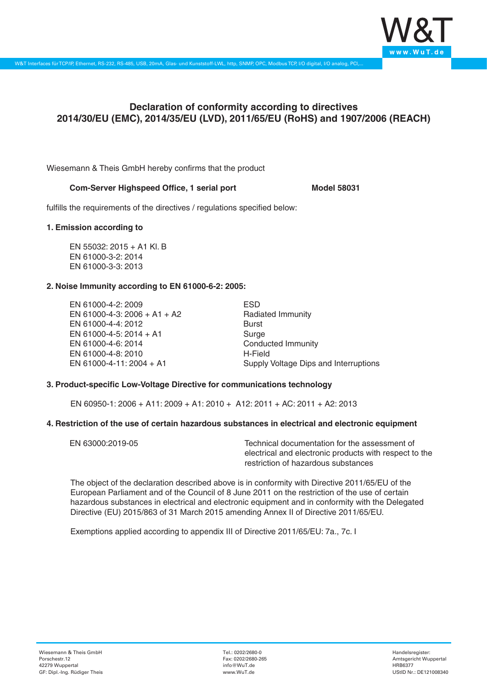

# **Declaration of conformity according to directives 2014/30/EU (EMC), 2014/35/EU (LVD), 2011/65/EU (RoHS) and 1907/2006 (REACH)**

Wiesemann & Theis GmbH hereby confirms that the product

## **Com-Server Highspeed Office, 1 serial port Model 58031**

fulfills the requirements of the directives / regulations specified below:

#### **1. Emission according to**

EN 55032: 2015 + A1 Kl. B EN 61000-3-2: 2014 EN 61000-3-3: 2013

## **2. Noise Immunity according to EN 61000-6-2: 2005:**

EN 61000-4-2: 2009 EN 61000-4-3: 2006 + A1 + A2 EN 61000-4-4: 2012 EN 61000-4-5: 2014 + A1 EN 61000-4-6: 2014 EN 61000-4-8: 2010 EN 61000-4-11: 2004 + A1

ESD Radiated Immunity Burst Surge Conducted Immunity H-Field Supply Voltage Dips and Interruptions

## **3. Product-specific Low-Voltage Directive for communications technology**

EN 60950-1: 2006 + A11: 2009 + A1: 2010 + A12: 2011 + AC: 2011 + A2: 2013

#### **4. Restriction of the use of certain hazardous substances in electrical and electronic equipment**

| EN 63000:2019-05 | Technical documentation for the assessment of          |
|------------------|--------------------------------------------------------|
|                  | electrical and electronic products with respect to the |
|                  | restriction of hazardous substances                    |

The object of the declaration described above is in conformity with Directive 2011/65/EU of the European Parliament and of the Council of 8 June 2011 on the restriction of the use of certain hazardous substances in electrical and electronic equipment and in conformity with the Delegated Directive (EU) 2015/863 of 31 March 2015 amending Annex II of Directive 2011/65/EU.

Exemptions applied according to appendix III of Directive 2011/65/EU: 7a., 7c. I